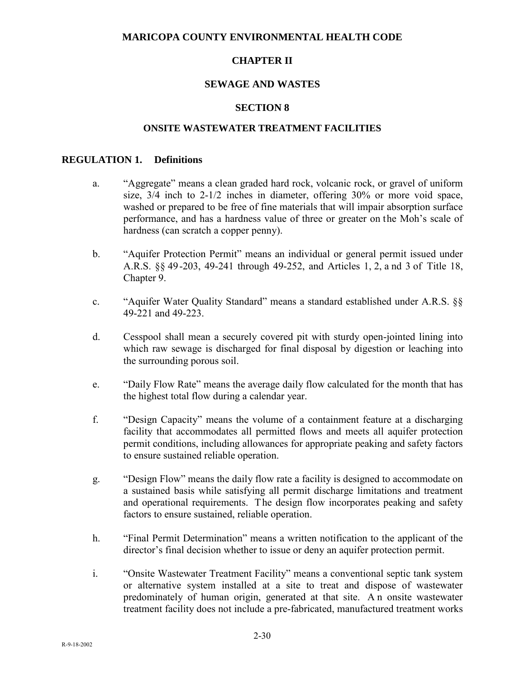### **MARICOPA COUNTY ENVIRONMENTAL HEALTH CODE**

### **CHAPTER II**

### **SEWAGE AND WASTES**

#### **SECTION 8**

#### **ONSITE WASTEWATER TREATMENT FACILITIES**

#### **REGULATION 1. Definitions**

- a. "Aggregate" means a clean graded hard rock, volcanic rock, or gravel of uniform size, 3/4 inch to 2-1/2 inches in diameter, offering 30% or more void space, washed or prepared to be free of fine materials that will impair absorption surface performance, and has a hardness value of three or greater on the Moh's scale of hardness (can scratch a copper penny).
- b. "Aquifer Protection Permit" means an individual or general permit issued under A.R.S. §§ 49-203, 49-241 through 49-252, and Articles 1, 2, a nd 3 of Title 18, Chapter 9.
- c. "Aquifer Water Quality Standard" means a standard established under A.R.S. §§ 49-221 and 49-223.
- d. Cesspool shall mean a securely covered pit with sturdy open-jointed lining into which raw sewage is discharged for final disposal by digestion or leaching into the surrounding porous soil.
- e. "Daily Flow Rate" means the average daily flow calculated for the month that has the highest total flow during a calendar year.
- f. "Design Capacity" means the volume of a containment feature at a discharging facility that accommodates all permitted flows and meets all aquifer protection permit conditions, including allowances for appropriate peaking and safety factors to ensure sustained reliable operation.
- g. "Design Flow" means the daily flow rate a facility is designed to accommodate on a sustained basis while satisfying all permit discharge limitations and treatment and operational requirements. The design flow incorporates peaking and safety factors to ensure sustained, reliable operation.
- h. "Final Permit Determination" means a written notification to the applicant of the director's final decision whether to issue or deny an aquifer protection permit.
- i. "Onsite Wastewater Treatment Facility" means a conventional septic tank system or alternative system installed at a site to treat and dispose of wastewater predominately of human origin, generated at that site. A n onsite wastewater treatment facility does not include a pre-fabricated, manufactured treatment works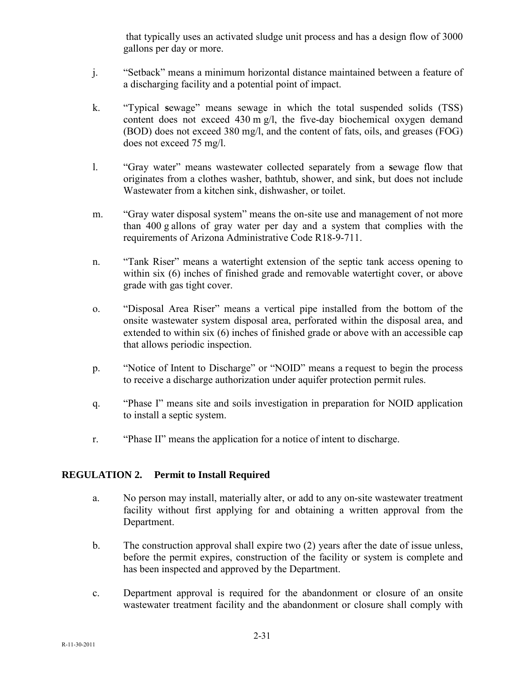that typically uses an activated sludge unit process and has a design flow of 3000 gallons per day or more.

- j. "Setback" means a minimum horizontal distance maintained between a feature of a discharging facility and a potential point of impact.
- k. "Typical **s**ewage" means sewage in which the total suspended solids (TSS) content does not exceed 430 m g/l, the five-day biochemical oxygen demand (BOD) does not exceed 380 mg/l, and the content of fats, oils, and greases (FOG) does not exceed 75 mg/l.
- l. "Gray water" means wastewater collected separately from a **s**ewage flow that originates from a clothes washer, bathtub, shower, and sink, but does not include Wastewater from a kitchen sink, dishwasher, or toilet.
- m. "Gray water disposal system" means the on-site use and management of not more than 400 g allons of gray water per day and a system that complies with the requirements of Arizona Administrative Code R18-9-711.
- n. "Tank Riser" means a watertight extension of the septic tank access opening to within six (6) inches of finished grade and removable watertight cover, or above grade with gas tight cover.
- o. "Disposal Area Riser" means a vertical pipe installed from the bottom of the onsite wastewater system disposal area, perforated within the disposal area, and extended to within six (6) inches of finished grade or above with an accessible cap that allows periodic inspection.
- p. "Notice of Intent to Discharge" or "NOID" means a request to begin the process to receive a discharge authorization under aquifer protection permit rules.
- q. "Phase I" means site and soils investigation in preparation for NOID application to install a septic system.
- r. "Phase II" means the application for a notice of intent to discharge.

## **REGULATION 2. Permit to Install Required**

- a. No person may install, materially alter, or add to any on-site wastewater treatment facility without first applying for and obtaining a written approval from the Department.
- b. The construction approval shall expire two (2) years after the date of issue unless, before the permit expires, construction of the facility or system is complete and has been inspected and approved by the Department.
- c. Department approval is required for the abandonment or closure of an onsite wastewater treatment facility and the abandonment or closure shall comply with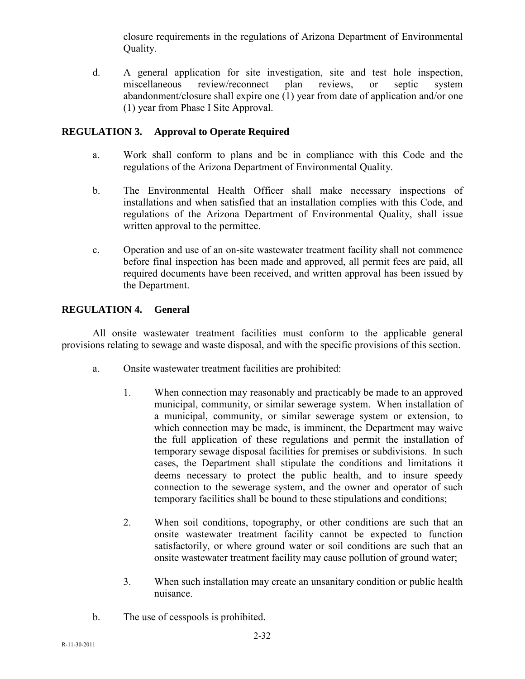closure requirements in the regulations of Arizona Department of Environmental Quality.

d. A general application for site investigation, site and test hole inspection, miscellaneous review/reconnect plan reviews, or septic system abandonment/closure shall expire one (1) year from date of application and/or one (1) year from Phase I Site Approval.

# **REGULATION 3. Approval to Operate Required**

- a. Work shall conform to plans and be in compliance with this Code and the regulations of the Arizona Department of Environmental Quality.
- b. The Environmental Health Officer shall make necessary inspections of installations and when satisfied that an installation complies with this Code, and regulations of the Arizona Department of Environmental Quality, shall issue written approval to the permittee.
- c. Operation and use of an on-site wastewater treatment facility shall not commence before final inspection has been made and approved, all permit fees are paid, all required documents have been received, and written approval has been issued by the Department.

# **REGULATION 4. General**

All onsite wastewater treatment facilities must conform to the applicable general provisions relating to sewage and waste disposal, and with the specific provisions of this section.

- a. Onsite wastewater treatment facilities are prohibited:
	- 1. When connection may reasonably and practicably be made to an approved municipal, community, or similar sewerage system. When installation of a municipal, community, or similar sewerage system or extension, to which connection may be made, is imminent, the Department may waive the full application of these regulations and permit the installation of temporary sewage disposal facilities for premises or subdivisions. In such cases, the Department shall stipulate the conditions and limitations it deems necessary to protect the public health, and to insure speedy connection to the sewerage system, and the owner and operator of such temporary facilities shall be bound to these stipulations and conditions;
	- 2. When soil conditions, topography, or other conditions are such that an onsite wastewater treatment facility cannot be expected to function satisfactorily, or where ground water or soil conditions are such that an onsite wastewater treatment facility may cause pollution of ground water;
	- 3. When such installation may create an unsanitary condition or public health nuisance.
- b. The use of cesspools is prohibited.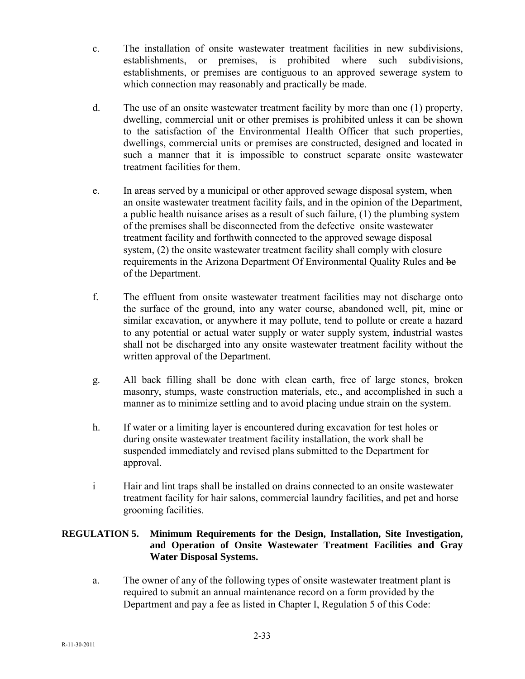- c. The installation of onsite wastewater treatment facilities in new subdivisions, establishments, or premises, is prohibited where such subdivisions, establishments, or premises are contiguous to an approved sewerage system to which connection may reasonably and practically be made.
- d. The use of an onsite wastewater treatment facility by more than one (1) property, dwelling, commercial unit or other premises is prohibited unless it can be shown to the satisfaction of the Environmental Health Officer that such properties, dwellings, commercial units or premises are constructed, designed and located in such a manner that it is impossible to construct separate onsite wastewater treatment facilities for them.
- e. In areas served by a municipal or other approved sewage disposal system, when an onsite wastewater treatment facility fails, and in the opinion of the Department, a public health nuisance arises as a result of such failure, (1) the plumbing system of the premises shall be disconnected from the defective onsite wastewater treatment facility and forthwith connected to the approved sewage disposal system, (2) the onsite wastewater treatment facility shall comply with closure requirements in the Arizona Department Of Environmental Quality Rules and be of the Department.
- f. The effluent from onsite wastewater treatment facilities may not discharge onto the surface of the ground, into any water course, abandoned well, pit, mine or similar excavation, or anywhere it may pollute, tend to pollute or create a hazard to any potential or actual water supply or water supply system, **i**ndustrial wastes shall not be discharged into any onsite wastewater treatment facility without the written approval of the Department.
- g. All back filling shall be done with clean earth, free of large stones, broken masonry, stumps, waste construction materials, etc., and accomplished in such a manner as to minimize settling and to avoid placing undue strain on the system.
- h. If water or a limiting layer is encountered during excavation for test holes or during onsite wastewater treatment facility installation, the work shall be suspended immediately and revised plans submitted to the Department for approval.
- i Hair and lint traps shall be installed on drains connected to an onsite wastewater treatment facility for hair salons, commercial laundry facilities, and pet and horse grooming facilities.

## **REGULATION 5. Minimum Requirements for the Design, Installation, Site Investigation, and Operation of Onsite Wastewater Treatment Facilities and Gray Water Disposal Systems.**

a. The owner of any of the following types of onsite wastewater treatment plant is required to submit an annual maintenance record on a form provided by the Department and pay a fee as listed in Chapter I, Regulation 5 of this Code: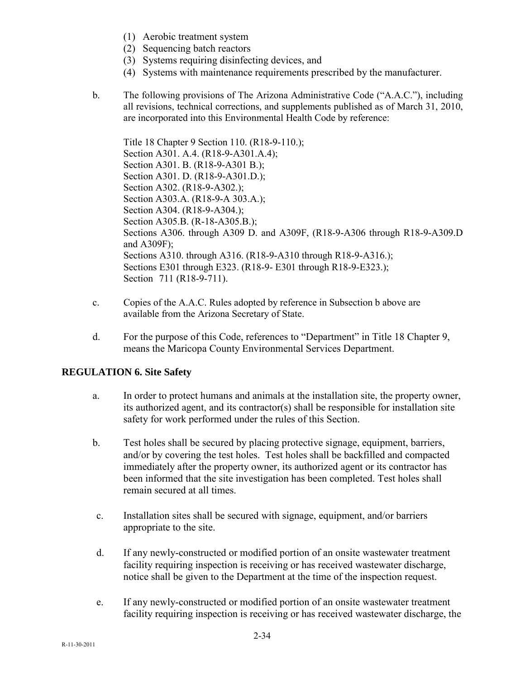- (1) Aerobic treatment system
- (2) Sequencing batch reactors
- (3) Systems requiring disinfecting devices, and
- (4) Systems with maintenance requirements prescribed by the manufacturer.
- b. The following provisions of The Arizona Administrative Code ("A.A.C."), including all revisions, technical corrections, and supplements published as of March 31, 2010, are incorporated into this Environmental Health Code by reference:

Title 18 Chapter 9 Section 110. (R18-9-110.); Section A301. A.4. (R18-9-A301.A.4); Section A301. B. (R18-9-A301 B.); Section A301. D. (R18-9-A301.D.); Section A302. (R18-9-A302.); Section A303.A. (R18-9-A 303.A.); Section A304. (R18-9-A304.); Section A305.B. (R-18-A305.B.); Sections A306. through A309 D. and A309F, (R18-9-A306 through R18-9-A309.D and A309F); Sections A310. through A316. (R18-9-A310 through R18-9-A316.); Sections E301 through E323. (R18-9- E301 through R18-9-E323.); Section 711 (R18-9-711).

- c. Copies of the A.A.C. Rules adopted by reference in Subsection b above are available from the Arizona Secretary of State.
- d. For the purpose of this Code, references to "Department" in Title 18 Chapter 9, means the Maricopa County Environmental Services Department.

## **REGULATION 6. Site Safety**

- a. In order to protect humans and animals at the installation site, the property owner, its authorized agent, and its contractor(s) shall be responsible for installation site safety for work performed under the rules of this Section.
- b. Test holes shall be secured by placing protective signage, equipment, barriers, and/or by covering the test holes. Test holes shall be backfilled and compacted immediately after the property owner, its authorized agent or its contractor has been informed that the site investigation has been completed. Test holes shall remain secured at all times.
- c. Installation sites shall be secured with signage, equipment, and/or barriers appropriate to the site.
- d. If any newly-constructed or modified portion of an onsite wastewater treatment facility requiring inspection is receiving or has received wastewater discharge, notice shall be given to the Department at the time of the inspection request.
- e. If any newly-constructed or modified portion of an onsite wastewater treatment facility requiring inspection is receiving or has received wastewater discharge, the